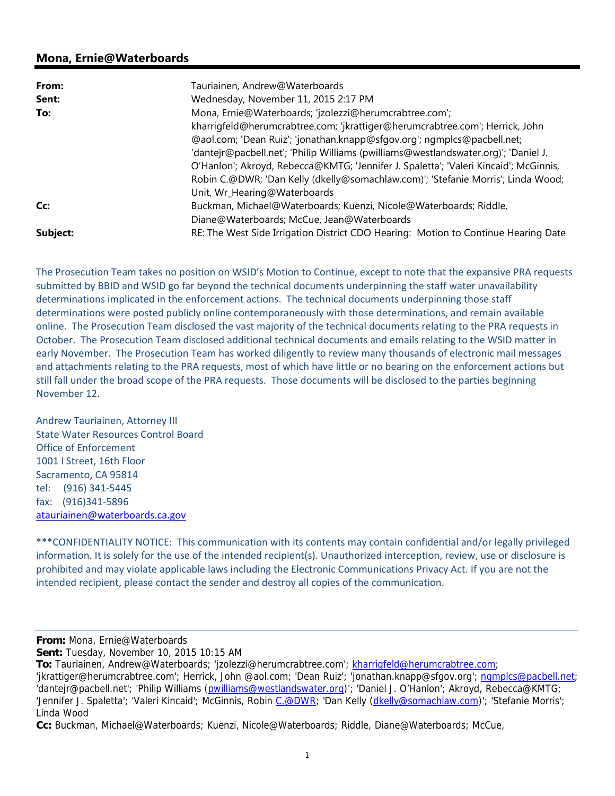## **Mona, Ernie@Waterboards**

| From:    | Tauriainen, Andrew@Waterboards                                                       |
|----------|--------------------------------------------------------------------------------------|
| Sent:    | Wednesday, November 11, 2015 2:17 PM                                                 |
| To:      | Mona, Ernie@Waterboards; 'jzolezzi@herumcrabtree.com';                               |
|          | kharrigfeld@herumcrabtree.com; 'jkrattiger@herumcrabtree.com'; Herrick, John         |
|          | @aol.com; 'Dean Ruiz'; 'jonathan.knapp@sfgov.org'; ngmplcs@pacbell.net;              |
|          | 'dantejr@pacbell.net'; 'Philip Williams (pwilliams@westlandswater.org)'; 'Daniel J.  |
|          | O'Hanlon'; Akroyd, Rebecca@KMTG; 'Jennifer J. Spaletta'; 'Valeri Kincaid'; McGinnis, |
|          | Robin C.@DWR; 'Dan Kelly (dkelly@somachlaw.com)'; 'Stefanie Morris'; Linda Wood;     |
|          | Unit, Wr_Hearing@Waterboards                                                         |
| Cc:      | Buckman, Michael@Waterboards; Kuenzi, Nicole@Waterboards; Riddle,                    |
|          | Diane@Waterboards; McCue, Jean@Waterboards                                           |
| Subject: | RE: The West Side Irrigation District CDO Hearing: Motion to Continue Hearing Date   |

The Prosecution Team takes no position on WSID's Motion to Continue, except to note that the expansive PRA requests submitted by BBID and WSID go far beyond the technical documents underpinning the staff water unavailability determinations implicated in the enforcement actions. The technical documents underpinning those staff determinations were posted publicly online contemporaneously with those determinations, and remain available online. The Prosecution Team disclosed the vast majority of the technical documents relating to the PRA requests in October. The Prosecution Team disclosed additional technical documents and emails relating to the WSID matter in early November. The Prosecution Team has worked diligently to review many thousands of electronic mail messages and attachments relating to the PRA requests, most of which have little or no bearing on the enforcement actions but still fall under the broad scope of the PRA requests. Those documents will be disclosed to the parties beginning November 12.

Andrew Tauriainen, Attorney III State Water Resources Control Board Office of Enforcement 1001 I Street, 16th Floor Sacramento, CA 95814 tel: (916) 341‐5445 fax: (916)341‐5896 atauriainen@waterboards.ca.gov

\*\*\*CONFIDENTIALITY NOTICE: This communication with its contents may contain confidential and/or legally privileged information. It is solely for the use of the intended recipient(s). Unauthorized interception, review, use or disclosure is prohibited and may violate applicable laws including the Electronic Communications Privacy Act. If you are not the intended recipient, please contact the sender and destroy all copies of the communication.

**From:** Mona, Ernie@Waterboards

**Sent:** Tuesday, November 10, 2015 10:15 AM

**To:** Tauriainen, Andrew@Waterboards; 'jzolezzi@herumcrabtree.com'; kharrigfeld@herumcrabtree.com; 'jkrattiger@herumcrabtree.com'; Herrick, John @aol.com; 'Dean Ruiz'; 'jonathan.knapp@sfgov.org'; ngmplcs@pacbell.net; 'dantejr@pacbell.net'; 'Philip Williams (pwilliams@westlandswater.org)'; 'Daniel J. O'Hanlon'; Akroyd, Rebecca@KMTG; 'Jennifer J. Spaletta'; 'Valeri Kincaid'; McGinnis, Robin C.@DWR; 'Dan Kelly (dkelly@somachlaw.com)'; 'Stefanie Morris'; Linda Wood

**Cc:** Buckman, Michael@Waterboards; Kuenzi, Nicole@Waterboards; Riddle, Diane@Waterboards; McCue,